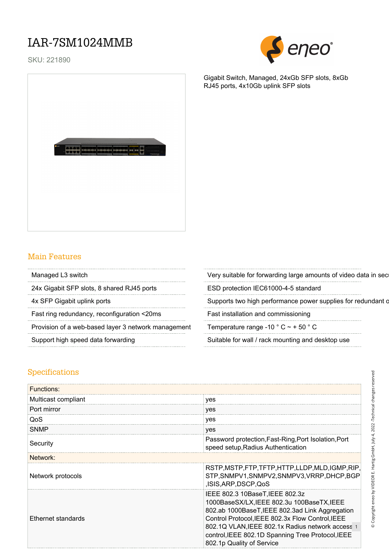## IAR-7SM1024MMB

SKU: 221890



Gigabit Switch, Managed, 24xGb SFP slots, 8xGb

RJ45 ports, 4x10Gb uplink SFP slots



#### Main Features

24x Gigabit SFP slots, 8 shared RJ45 ports ESD protection IEC61000-4-5 standard

Fast ring redundancy, reconfiguration <20ms Fast installation and commissioning

Provision of a web-based layer 3 network management Temperature range -10  $^{\circ}$  C  $\sim$  + 50  $^{\circ}$  C

Managed L3 switch examples a very suitable for forwarding large amounts of video data in security monitoring monitoring monitoring monitoring monitoring monitoring monitoring monitoring monitoring monitoring monitoring mon

4x SFP Gigabit uplink ports Supports two high performance power supplies for redundant operation

Support high speed data forwarding Suitable for wall / rack mounting and desktop use

#### Specifications

| <b>Functions:</b>   |                                                                                                                                                                                                                                                                                                                            |  |  |
|---------------------|----------------------------------------------------------------------------------------------------------------------------------------------------------------------------------------------------------------------------------------------------------------------------------------------------------------------------|--|--|
| Multicast compliant | yes                                                                                                                                                                                                                                                                                                                        |  |  |
| Port mirror         | yes                                                                                                                                                                                                                                                                                                                        |  |  |
| QoS                 | yes                                                                                                                                                                                                                                                                                                                        |  |  |
| <b>SNMP</b>         | yes                                                                                                                                                                                                                                                                                                                        |  |  |
| Security            | Password protection, Fast-Ring, Port Isolation, Port<br>speed setup, Radius Authentication                                                                                                                                                                                                                                 |  |  |
| Network:            |                                                                                                                                                                                                                                                                                                                            |  |  |
| Network protocols   | RSTP, MSTP, FTP, TFTP, HTTP, LLDP, MLD, IGMP, RIP,<br>STP, SNMPV1, SNMPV2, SNMPV3, VRRP, DHCP, BGP<br>ISIS, ARP, DSCP, QoS                                                                                                                                                                                                 |  |  |
| Ethernet standards  | IEEE 802.3 10BaseT, IEEE 802.3z<br>1000BaseSX/LX, IEEE 802.3u 100BaseTX, IEEE<br>802.ab 1000BaseT, IEEE 802.3ad Link Aggregation<br>Control Protocol, IEEE 802.3x Flow Control, IEEE<br>802.1Q VLAN, IEEE 802.1x Radius network access 1<br>control, IEEE 802.1D Spanning Tree Protocol, IEEE<br>802.1p Quality of Service |  |  |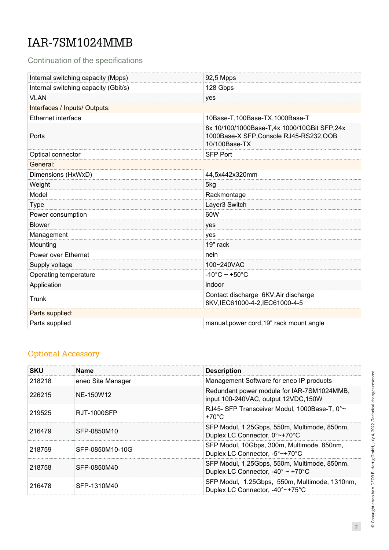# IAR-7SM1024MMB

Continuation of the specifications

| Internal switching capacity (Mpps)   | 92,5 Mpps                                                                                               |  |  |
|--------------------------------------|---------------------------------------------------------------------------------------------------------|--|--|
| Internal switching capacity (Gbit/s) | 128 Gbps                                                                                                |  |  |
| <b>VLAN</b>                          | yes                                                                                                     |  |  |
| Interfaces / Inputs/ Outputs:        |                                                                                                         |  |  |
| Ethernet interface                   | 10Base-T,100Base-TX,1000Base-T                                                                          |  |  |
| Ports                                | 8x 10/100/1000Base-T,4x 1000/10GBit SFP,24x<br>1000Base-X SFP, Console RJ45-RS232, OOB<br>10/100Base-TX |  |  |
| Optical connector                    | <b>SFP Port</b>                                                                                         |  |  |
| General:                             |                                                                                                         |  |  |
| Dimensions (HxWxD)                   | 44,5x442x320mm                                                                                          |  |  |
| Weight                               | 5kg                                                                                                     |  |  |
| Model                                | Rackmontage                                                                                             |  |  |
| <b>Type</b>                          | Layer3 Switch                                                                                           |  |  |
| Power consumption                    | 60W                                                                                                     |  |  |
| <b>Blower</b>                        | yes                                                                                                     |  |  |
| Management                           | yes                                                                                                     |  |  |
| Mounting                             | 19" rack                                                                                                |  |  |
| Power over Ethernet                  | nein                                                                                                    |  |  |
| Supply voltage                       | 100~240VAC                                                                                              |  |  |
| Operating temperature                | $-10^{\circ}$ C ~ +50 $^{\circ}$ C                                                                      |  |  |
| Application                          | indoor                                                                                                  |  |  |
| Trunk                                | Contact discharge 6KV, Air discharge<br>8KV,IEC61000-4-2,IEC61000-4-5                                   |  |  |
| Parts supplied:                      |                                                                                                         |  |  |
| Parts supplied                       | manual, power cord, 19" rack mount angle                                                                |  |  |

### Optional Accessory

| <b>SKU</b> | <b>Name</b>       | <b>Description</b>                                                                                    |  |  |
|------------|-------------------|-------------------------------------------------------------------------------------------------------|--|--|
| 218218     | eneo Site Manager | Management Software for eneo IP products                                                              |  |  |
| 226215     | NE-150W12         | Redundant power module for IAR-7SM1024MMB,<br>input 100-240VAC, output 12VDC, 150W                    |  |  |
| 219525     | RJT-1000SFP       | RJ45- SFP Transceiver Modul, 1000Base-T, 0°~<br>$+70^{\circ}$ C                                       |  |  |
| 216479     | SFP-0850M10       | SFP Modul, 1.25Gbps, 550m, Multimode, 850nm,<br>Duplex LC Connector, 0°~+70°C                         |  |  |
| 218759     | SFP-0850M10-10G   | SFP Modul, 10Gbps, 300m, Multimode, 850nm,<br>Duplex LC Connector, -5°~+70°C                          |  |  |
| 218758     | SFP-0850M40       | SFP Modul, 1,25Gbps, 550m, Multimode, 850nm,<br>Duplex LC Connector, $-40^{\circ} \sim +70^{\circ}$ C |  |  |
| 216478     | SFP-1310M40       | SFP Modul, 1.25Gbps, 550m, Multimode, 1310nm,<br>Duplex LC Connector, -40°~+75°C                      |  |  |